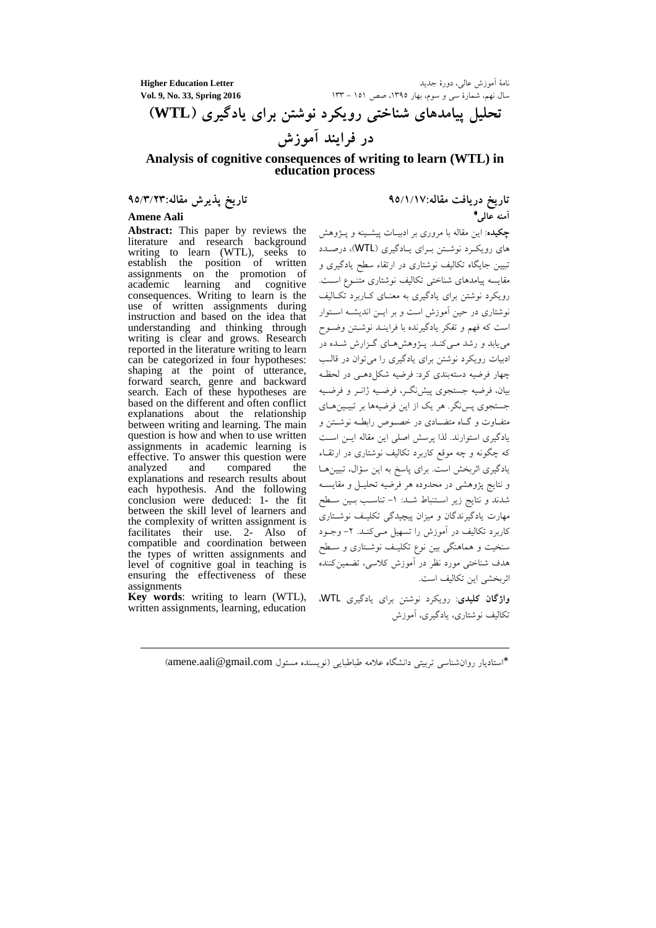**Higher Education Letter**

نامهٔ اموزش عالی، دور سال نهم، شمارهٔ سی و سوم، بهار ۱۳۹۵، صص ۱۵۱ – ۱۲۳ **133, Spring 2016** 133, Spring 2016

تحلیل پیامدهای شناختی رویکرد نوشتن برای یادگیری (WTL) در فرایند آموزش

## **Analysis of cognitive consequences of writing to learn (WTL) in education process**

**Abstract:** This paper by reviews the literature and research background writing to learn (WTL), seeks to establish the position of written assignments on the promotion of academic learning and cognitive consequences. Writing to learn is the use of written assignments during instruction and based on the idea that understanding and thinking through writing is clear and grows. Research reported in the literature writing to learn can be categorized in four hypotheses: shaping at the point of utterance, forward search, genre and backward search. Each of these hypotheses are based on the different and often conflict explanations about the relationship between writing and learning. The main question is how and when to use written assignments in academic learning is effective. To answer this question were<br>analyzed and compared the compared explanations and research results about each hypothesis. And the following conclusion were deduced: 1- the fit between the skill level of learners and the complexity of written assignment is facilitates their use. 2- Also of compatible and coordination between the types of written assignments and level of cognitive goal in teaching is ensuring the effectiveness of these assignments

**Key words**: writing to learn (WTL), written assignments, learning, education

 $\overline{a}$ 

تاریخ دریافت مقاله:۹۵/۱/۱۷ **&2 %"** <sup>∗</sup> **Amene Aali** 

> **چکیده**: این مقاله با مروری بر ادبیــات پیشــینه و پــژوهش های رویکرد نوشتن بـرای یـادگیری (WTL)، درصـدد تبیین جایگاه تکالیف نوشتاری در ارتقاء سطح یادگیری و مقايسه پيامدهاى شناختى تكاليف نوشتارى متنــوع اســت. رویکرد نوشتن برای یادگیری به معنـای کــاربرد تکــالیف نوشتاری در حین اموزش است و بر ایــن اندیشــه اســتوار است که فهم و تفکر یادگیرنده با فراینـد نوشـتن وضـوح می یابد و رشد مـیکنـد. پــژوهشهـای گــزارش شــده در ادبیات رویکرد نوشتن برای یادگیری را میتوان در قالـب چهار فرضیه دستهبندی کرد: فرضیه شکل دهمی در لحظه بیان، فرضیه جستجوی پیشنگـر، فرضـیه ژانــر و فرضــیه جستجوي پس نگر. هر يک از اين فرضيهها بر تبيـينهـاي متفــاوت و گــاه متضــادی در خصـــوص رابطــه نوشـــتن و یادگیری استوارند. لذا پرسش اصلی این مقاله ایــن اســت که چگونه و چه موقع کاربرد تکالیف نوشتاری در ارتقــاء یادگیری اثربخش است. برای پاسخ به این سؤال، تبیینها و نتايج پژوهشى در محدوده هر فرضيه تحليــل و مقايســه شدند و نتايج زير اسـتنباط شـد: ١- تناسـب بـين سـطح مهارت یادگیرندگان و میزان پیچیدگی تکلیـف نوشــتاری کاربرد تکالیف در اموزش را تسهیل مــیکنــد. ۲– وجــود سنخیت و هماهنگی بین نوع تکلیـف نوشـتاری و سـطح هدف شناختی مورد نظر در اموزش کلاسی، تضمین کننده اثر بخشی این تکالیف است.

وا<mark>ژگان کلیدی</mark>: رویکرد نوشتن برای یادگیری WTL، تکالیف نوشتاری، یادگیری، آموزش

\*استادیار روانشناسی تربیتی دانشگاه علامه طباطبایی (نویسنده مسئول amene.aali@gmail.com)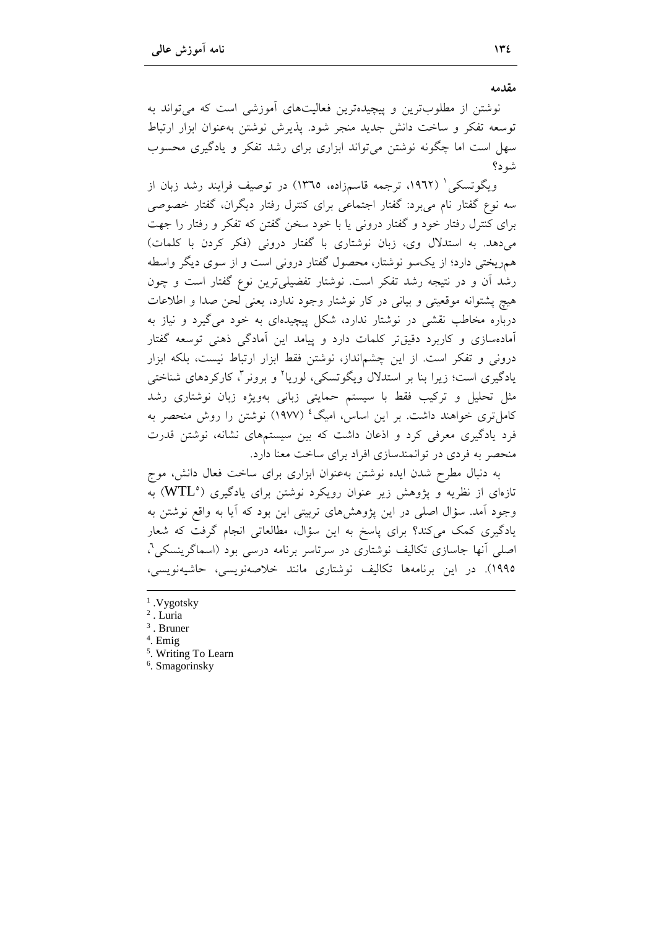مقدمه

نوشتن از مطلوبترین و پیچیدهترین فعالیتهای آموزشی است که می تواند به توسعه تفكر و ساخت دانش جديد منجر شود. پذيرش نوشتن بهعنوان ابزار ارتباط سهل است اما چگونه نوشتن می تواند ابزاری برای رشد تفکر و یادگیری محسوب شه د؟

ویگوتسکی ٔ (۱۹۶۲، ترجمه قاسمزاده، ۱۳۶۵) در توصیف فرایند رشد زبان از سه نوع گفتار نام می برد: گفتار اجتماعی برای کنترل رفتار دیگران، گفتار خصوصی برای کنترل رفتار خود و گفتار درونی یا با خود سخن گفتن که تفکر و رفتار را جهت می دهد. به استدلال وی، زبان نوشتاری با گفتار درونی (فکر کردن با کلمات) همریختی دارد؛ از یکسو نوشتار، محصول گفتار درونی است و از سوی دیگر واسطه رشد أن و در نتیجه رشد تفکر است. نوشتار تفضیلیترین نوع گفتار است و چون هيچ يشتوانه موقعيتي و بياني در كار نوشتار وجود ندارد، يعني لحن صدا و اطلاعات درباره مخاطب نقشی در نوشتار ندارد، شکل پیچیدهای به خود می گیرد و نیاز به آمادهسازی و کاربرد دقیقتر کلمات دارد و پیامد این آمادگی ذهنی توسعه گفتار درونی و تفکر است. از این چشمانداز، نوشتن فقط ابزار ارتباط نیست، بلکه ابزار یادگیری است؛ زیرا بنا بر استدلال ویگوتسکی، لوریا<sup>۲</sup> و برونر<sup>۳</sup>، کارکردهای شناخت<sub>ی</sub> مثل تحلیل و ترکیب فقط با سیستم حمایتی زبانی بهویژه زبان نوشتاری رشد کامل تری خواهند داشت. بر این اساس، امیگ<sup>،</sup> (۱۹۷۷) نوشتن را روش منحصر به فرد یادگیری معرفی کرد و اذعان داشت که بین سیستمهای نشانه، نوشتن قدرت منحصر به فردی در توانمندسازی افراد برای ساخت معنا دارد.

به دنبال مطرح شدن ايده نوشتن بهعنوان ابزاري براي ساخت فعال دانش، موج تازهای از نظریه و پژوهش زیر عنوان رویکرد نوشتن برای یادگیری (WTL°) به وجود آمد. سؤال اصلی در این پژوهشهای تربیتی این بود که آیا به واقع نوشتن به یادگیری کمک میکند؟ برای پاسخ به این سؤال، مطالعاتی انجام گرفت که شعار اصلی أنها جاسازی تکالیف نوشتاری در سرتاسر برنامه درسی بود (اسماگرینسکی<sup>۹</sup>، ١٩٩٥). در اين برنامهها تكاليف نوشتاري مانند خلاصهنويسي، حاشيهنويسي،

- $1. Vygotsky$
- $2$ . Luria
- $3$ . Bruner
- $4.$  Emig
- <sup>5</sup>. Writing To Learn
- <sup>6</sup>. Smagorinsky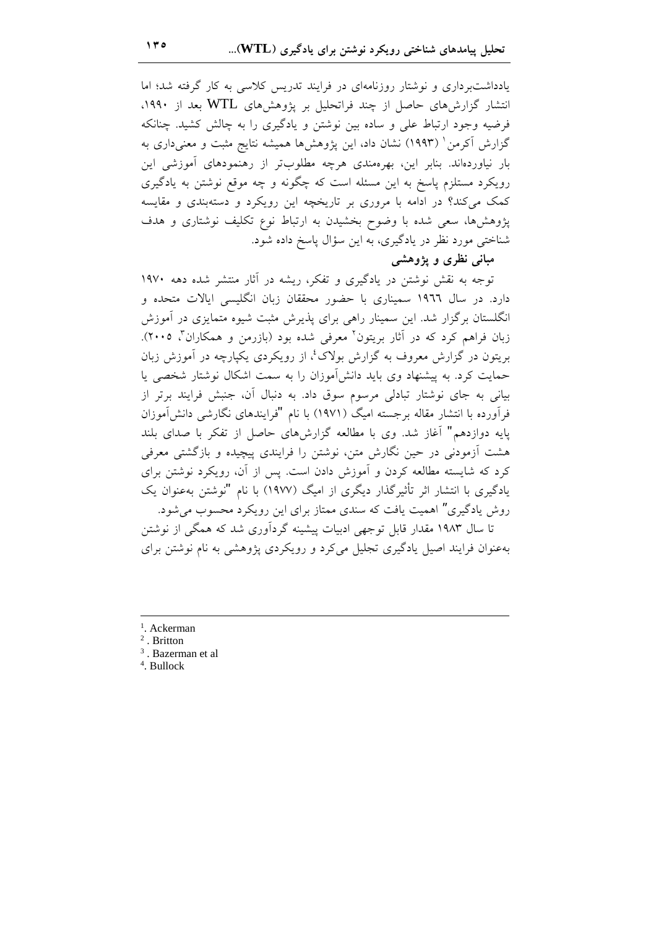یادداشتبرداری و نوشتار روزنامهای در فرایند تدریس کلاسی به کار گرفته شد؛ اما انتشار گزارشهای حاصل از چند فراتحلیل بر پژوهشهای WTL بعد از ۱۹۹۰، فرضیه وجود ارتباط علی و ساده بین نوشتن و یادگیری را به چالش کشید. چنانکه گزارش آکرمن ' (۱۹۹۳) نشان داد، این یژوهشها همیشه نتایج مثبت و معنیداری به بار نیاوردهاند. بنابر این، بهرهمندی هرچه مطلوبتر از رهنمودهای آموزشی این رویکرد مستلزم پاسخ به این مسئله است که چگونه و چه موقع نوشتن به یادگیری کمک میکند؟ در ادامه با مروری بر تاریخچه این رویکرد و دستهبندی و مقایسه پژوهشها، سعی شده با وضوح بخشیدن به ارتباط نوع تکلیف نوشتاری و هدف شناختی مورد نظر در یادگیری، به این سؤال پاسخ داده شود.

مباني نظري و يژوهشي

توجه به نقش نوشتن در یادگیری و تفکر، ریشه در آثار منتشر شده دهه ۱۹۷۰ دارد. در سال ۱۹۶۲ سمیناری با حضور محققان زبان انگلیسی ایالات متحده و انگلستان برگزار شد. این سمینار راهی برای پذیرش مثبت شیوه متمایزی در آموزش زبان فراهم کرد که در آثار بریتون<sup>۲</sup> معرفی شده بود (بازرمن و همکاران<sup>۳</sup>، ۲۰۰۵). بریتون در گزارش معروف به گزارش بولاک ٔ، از رویکردی یکپارچه در آموزش زبان حمایت کرد. به پیشنهاد وی باید دانشآموزان را به سمت اشکال نوشتار شخصی یا بیانی به جای نوشتار تبادلی مرسوم سوق داد. به دنبال آن، جنبش فرایند برتر از فرآورده با انتشار مقاله برجسته امیگ (۱۹۷۱) با نام "فرایندهای نگارشی دانش آموزان پایه دوازدهم" آغاز شد. وی با مطالعه گزارشهای حاصل از تفکر با صدای بلند هشت آزمودنی در حین نگارش متن، نوشتن را فرایندی پیچیده و بازگشتی معرفی کرد که شایسته مطالعه کردن و آموزش دادن است. پس از آن، رویکرد نوشتن برای یادگیری با انتشار اثر تأثیرگذار دیگری از امیگ (۱۹۷۷) با نام "نوشتن بهعنوان یک روش یادگیری" اهمیت یافت که سندی ممتاز برای این رویکرد محسوب می شود. تا سال ۱۹۸۳ مقدار قابل توجهی ادبیات پیشینه گردآوری شد که همگی از نوشتن

بهعنوان فرایند اصیل یادگیری تجلیل می کرد و رویکردی پژوهشی به نام نوشتن برای

- <sup>1</sup>. Ackerman
- $2$ . Britton
- $3$ . Bazerman et al.
- <sup>4</sup>. Bullock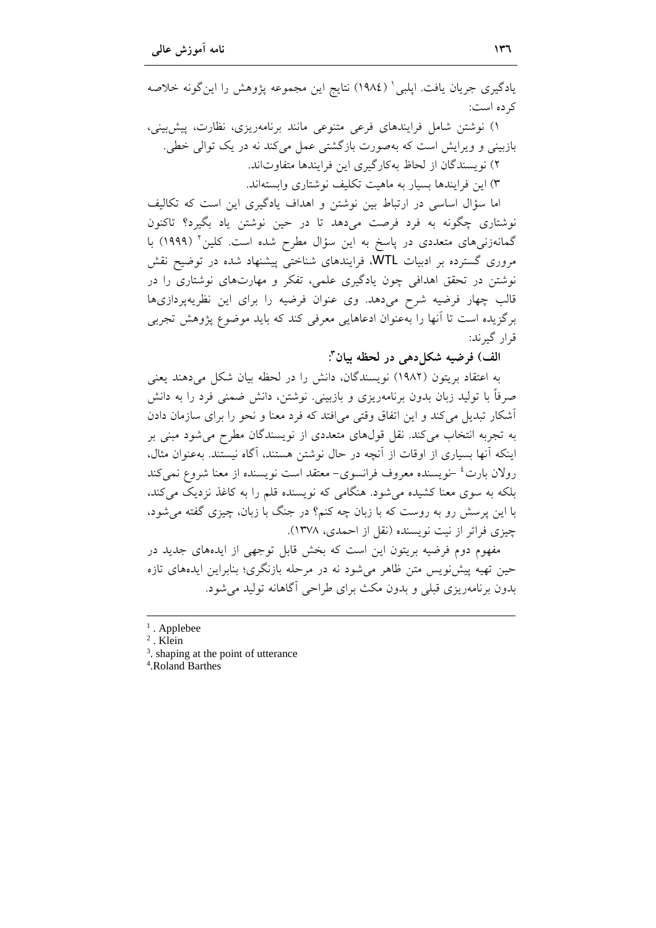يادگيري جريان يافت. اپلبي ` (١٩٨٤) نتايج اين مجموعه پژوهش را اينگونه خلاصه کر ده است:

۱) نوشتن شامل فرایندهای فرعی متنوعی مانند برنامهریزی، نظارت، پیش بینی، بازبینی و ویرایش است که بهصورت بازگشتی عمل می کند نه در یک توالی خطی. ٢) نو يسندگان از لحاظ بهكارگيري اين فرايندها متفاوتاند. ۳) این فرایندها بسیار به ماهیت تکلیف نوشتاری وابستهاند.

اما سؤال اساسی در ارتباط بین نوشتن و اهداف یادگیری این است که تکالیف نوشتاری چگونه به فرد فرصت میدهد تا در حین نوشتن یاد بگیرد؟ تاکنون گمانهزنیهای متعددی در پاسخ به این سؤال مطرح شده است. کلین ۲ (۱۹۹۹) با مروری گسترده بر ادبیات WTL، فرایندهای شناختی پیشنهاد شده در توضیح نقش نوشتن در تحقق اهدافی چون یادگیری علمی، تفکر و مهارتهای نوشتاری را در قالب چهار فرضیه شرح میدهد. وی عنوان فرضیه را برای این نظریهپردازیها برگزیده است تا أنها را بهعنوان ادعاهایی معرفی کند که باید موضوع پژوهش تجربی قرار گیرند:

الف) فرضيه شكل دهي در لحظه بيان":

به اعتقاد بریتون (١٩٨٢) نویسندگان، دانش را در لحظه بیان شکل میدهند یعنی صرفاً با تولید زبان بدون برنامهریزی و بازبینی. نوشتن، دانش ضمنی فرد را به دانش أشكار تبدیل می كند و این اتفاق وقتی می افتد كه فرد معنا و نحو را برای سازمان دادن به تجربه انتخاب می کند. نقل قولهای متعددی از نویسندگان مطرح می شود مبنی بر اینکه آنها بسیاری از اوقات از آنچه در حال نوشتن هستند، آگاه نیستند. بهعنوان مثال، رولان بارت<sup>،</sup> –نویسنده معروف فرانسوی– معتقد است نویسنده از معنا شروع نمی کند بلکه به سوی معنا کشیده می شود. هنگامی که نویسنده قلم را به کاغذ نزدیک می کند، با این پرسش رو به روست که با زبان چه کنم؟ در جنگ با زبان، چیزی گفته می شود، چیزی فراتر از نیت نویسنده (نقل از احمدی، ۱۳۷۸).

مفهوم دوم فرضیه بریتون این است که بخش قابل توجهی از ایدههای جدید در حین تهیه پیش نویس متن ظاهر میشود نه در مرحله بازنگری؛ بنابراین ایدههای تازه بدون برنامهریزی قبلی و بدون مکث برای طراحی آگاهانه تولید می شود.

 $3.$  shaping at the point of utterance

<sup>4</sup>.Roland Barthes

 $<sup>1</sup>$ . Applebee</sup>

 $2$ . Klein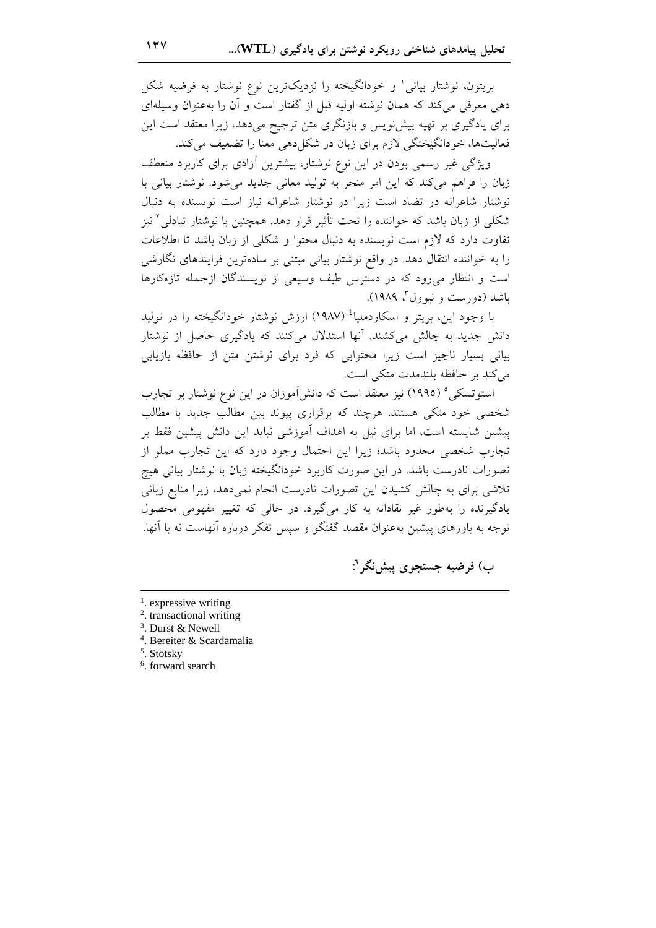بریتون، نوشتار بیانی' و خودانگیخته را نزدیکترین نوع نوشتار به فرضیه شکل دهی معرفی می کند که همان نوشته اولیه قبل از گفتار است و آن را بهعنوان وسیلهای برای یادگیری بر تهیه پیش نویس و بازنگری متن ترجیح میدهد، زیرا معتقد است این فعالیتها، خودانگیختگی لازم برای زبان در شکا دهی معنا را تضعیف می کند.

ویژگی غیر رسمی بودن در این نوع نوشتار، بیشترین آزادی برای کاربرد منعطف زبان را فراهم میکند که این امر منجر به تولید معانی جدید میشود. نوشتار بیانی با نوشتار شاعرانه در تضاد است زیرا در نوشتار شاعرانه نیاز است نویسنده به دنبال شکلم از زبان باشد که خواننده را تحت تأثیر قرار دهد. همچنین با نوشتار تبادل<sub>ی</sub><sup>۲</sup> نیز تفاوت دارد که لازم است نویسنده به دنبال محتوا و شکلی از زبان باشد تا اطلاعات را به خواننده انتقال دهد. در واقع نوشتار بیانی مبتنی بر سادهترین فرایندهای نگارشی است و انتظار می رود که در دسترس طیف وسیعی از نویسندگان ازجمله تازهکارها باشد (دورست و نبوول<sup>7</sup>، ۱۹۸۹).

با وجود این، بریتر و اسکاردملیا<sup>؛</sup> (۱۹۸۷) ارزش نوشتار خودانگیخته را در تولید دانش جدید به چالش میکشند. آنها استدلال میکنند که یادگیری حاصل از نوشتار بیانی بسیار ناچیز است زیرا محتوایی که فرد برای نوشتن متن از حافظه بازیابی مے کند پر حافظه بلندمدت متکے است.

استوتسکی ° (١٩٩٥) نیز معتقد است که دانش آموزان در این نوع نوشتار بر تجارب شخصی خود متکی هستند. هرچند که برقراری پیوند بین مطالب جدید با مطالب پیشین شایسته است، اما برای نیل به اهداف آموزشی نباید این دانش پیشین فقط بر تجارب شخصی محدود باشد؛ زیرا این احتمال وجود دارد که این تجارب مملو از تصورات نادرست باشد. در این صورت کاربرد خودانگیخته زبان با نوشتار بیانی هیچ تلاشی برای به چالش کشیدن این تصورات نادرست انجام نمی(دهد، زیرا منابع زبانی یادگیرنده را بهطور غیر نقادانه به کار میگیرد. در حالی که تغییر مفهومی محصول توجه به باورهای پیشین بهعنوان مقصد گفتگو و سپس تفکر درباره أنهاست نه با آنها.

ب) فرضيه جستجوي پيشنگر":

- $\frac{1}{2}$ . expressive writing
- <sup>2</sup>. transactional writing
- <sup>3</sup>. Durst & Newell
- <sup>4</sup>. Bereiter & Scardamalia
- $<sup>5</sup>$ . Stotsky</sup>
- <sup>6</sup>. forward search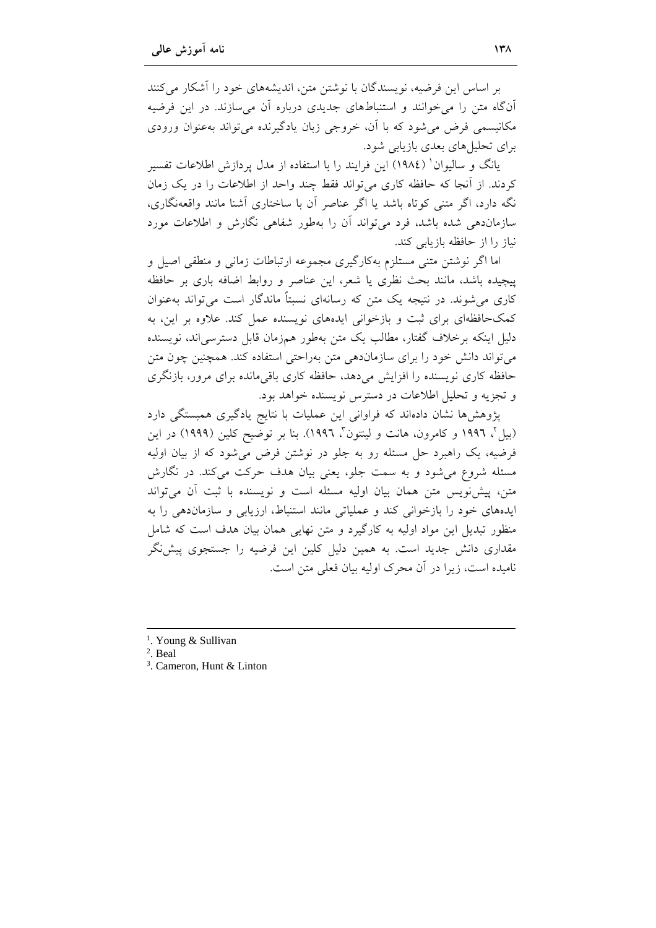بر اساس این فرضیه، نویسندگان با نوشتن متن، اندیشههای خود را آشکار می کنند آنگاه متن را می خوانند و استنباطهای جدیدی درباره آن می سازند. در این فرضیه مکانیسمی فرض می شود که با آن، خروجی زبان یادگیرنده می تواند بهعنوان ورودی برای تحلیلهای بعدی بازیابی شود.

یانگ و سالیوان' (١٩٨٤) این فرایند را با استفاده از مدل پردازش اطلاعات تفسیر كردند. از أنجا كه حافظه كارى مى تواند فقط چند واحد از اطلاعات را در يك زمان نگه دارد، اگر متنی کوتاه باشد یا اگر عناصر آن با ساختاری آشنا مانند واقعهنگاری، سازماندهی شده باشد، فرد می تواند اَن را بهطور شفاهی نگارش و اطلاعات مورد نیاز را از حافظه بازیابی کند.

اما اگر نوشتن متنی مستلزم بهکارگیری مجموعه ارتباطات زمانی و منطقی اصیل و پیچیده باشد، مانند بحث نظری یا شعر، این عناصر و روابط اضافه باری بر حافظه کاری می شوند. در نتیجه یک متن که رسانهای نسبتاً ماندگار است می تواند بهعنوان کمکحافظهای برای ثبت و بازخوانی ایدههای نویسنده عمل کند. علاوه بر این، به دلیل اینکه برخلاف گفتار، مطالب یک متن بهطور همزمان قابل دسترسی|ند، نویسنده می تواند دانش خود را برای سازماندهی متن بهراحتی استفاده کند. همچنین چون متن حافظه کاری نویسنده را افزایش میدهد، حافظه کاری باقیمانده برای مرور، بازنگری و تجزیه و تحلیل اطلاعات در دسترس نویسنده خواهد بود.

یژوهش ها نشان دادهاند که فراوانی این عملیات با نتایج یادگیری همبستگی دارد (بیلٌ، ۱۹۹۲ و کامرون، هانت و لینتون ؓ، ۱۹۹۲). بنا بر توضیح کلین (۱۹۹۹) در این فرضیه، یک راهبرد حل مسئله رو به جلو در نوشتن فرض می شود که از بیان اولیه مسئله شروع میشود و به سمت جلو، یعنی بیان هدف حرکت میکند. در نگارش متن، پیشنویس متن همان بیان اولیه مسئله است و نویسنده با ثبت آن می تواند ایدههای خود را بازخوانی کند و عملیاتی مانند استنباط، ارزیابی و سازمان دهی را به منظور تبدیل این مواد اولیه به کارگیرد و متن نهایی همان بیان هدف است که شامل مقداری دانش جدید است. به همین دلیل کلین این فرضیه را جستجوی پیش:گر نامیده است، زیرا در آن محرک اولیه بیان فعلی متن است.

- $2$ . Beal
- <sup>3</sup>. Cameron, Hunt & Linton

<sup>&</sup>lt;sup>1</sup>. Young & Sullivan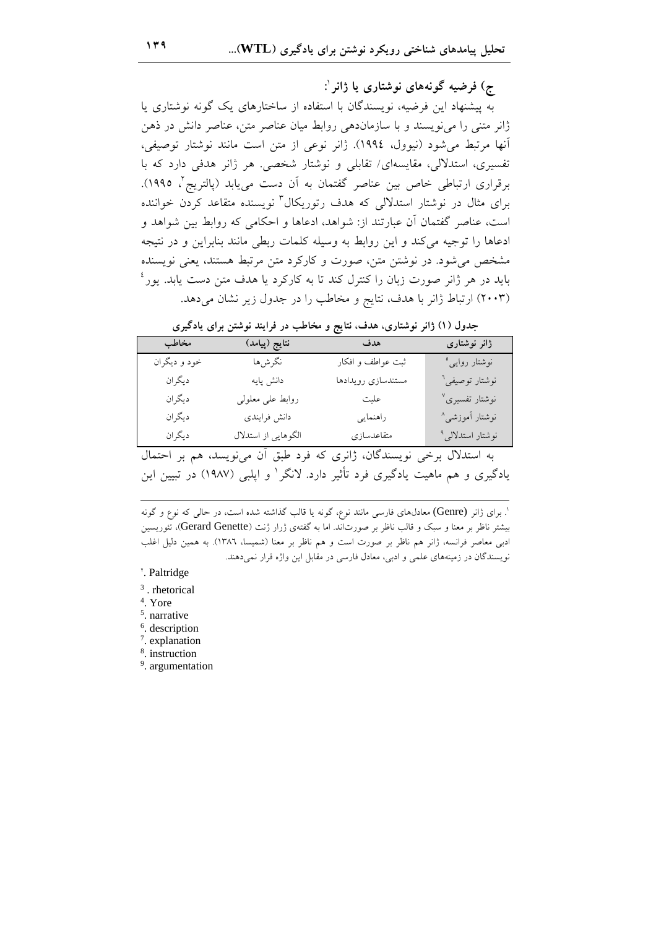ج) فرضيه گونههای نوشتاری يا ژانر ':

به پیشنهاد این فرضیه، نویسندگان با استفاده از ساختارهای یک گونه نوشتاری یا ژانر متنی را می نویسند و با سازماندهی روابط میان عناصر متن، عناصر دانش در ذهن أنها مرتبط مي شود (نيوول، ١٩٩٤). ژانر نوعي از متن است مانند نوشتار توصيفي، تفسیری، استدلالی، مقایسهای/ تقابلی و نوشتار شخصی. هر ژانر هدفی دارد که با برقراری ارتباطی خاص بین عناصر گفتمان به آن دست می یابد (یالتریج ٌ، ۱۹۹۵). برای مثال در نوشتار استدلالی که هدف رتوریکال ّ نویسنده متقاعد کردن خواننده است، عناصر گفتمان آن عبارتند از: شواهد، ادعاها و احکامی که روابط بین شواهد و ادعاها را توجیه می کند و این روابط به وسیله کلمات ربطی مانند بنابراین و در نتیجه مشخص می شود. در نوشتن متن، صورت و کارکرد متن مرتبط هستند، یعنی نویسنده باید در هر ژانر صورت زبان را کنترل کند تا به کارکرد یا هدف متن دست یابد. یور<sup>؛</sup> (۲۰۰۳) ارتباط ژانر با هدف، نتایج و مخاطب را در جدول زیر نشان میدهد.

| جدول (۱) ژانر نوشتاری، هدف، نتایج و مخاطب در فرایند نوشتن برای یادگیری |  |  |  |
|------------------------------------------------------------------------|--|--|--|
|------------------------------------------------------------------------|--|--|--|

| مخاطب        | نتايج (پيامد)       | هدف                | ژانر نوشتاری               |
|--------------|---------------------|--------------------|----------------------------|
| خود و ديگران | نگرشها              | ثبت عواطف و افکار  | نوشتار روای <sub>ی</sub> ° |
| ديگران       | دانش پایه           | مستندسازي رويدادها | نوشتار توصیفی <sup>٦</sup> |
| ديگران       | روابط على معلولى    | عليت               | نوشتار تفسیری <sup>∨</sup> |
| ديگران       | دانش فرايندي        | راهنمايي           | نوشتار آموزش <i>ی</i> ^    |
| ديگران       | الگوهایی از استدلال | متقاعدسازى         | نوشتار استدلالي°           |

به استدلال برخی نویسندگان، ژانری که فرد طبق آن می نویسد، هم بر احتمال یادگیری و هم ماهیت یادگیری فرد تأثیر دارد. لانگر ٰ و ایلبی (۱۹۸۷) در تبیین این

<sup>'</sup>. برای ژانر (Genre) معادل $\epsilon$ ای فارسی مانند نوع، گونه یا قالب گذاشته شده است، در حال<sub>ی</sub> که نوع و گونه بیشتر ناظر بر معنا و سبک و قالب ناظر بر صورتاند. اما به گفتهی ژرار ژنت (Gerard Genette)، تئوریسین ادبی معاصر فرانسه، ژانر هم ناظر بر صورت است و هم ناظر بر معنا (شمیسا، ١٣٨٦). به همین دلیل اغلب نویسندگان در زمینههای علمی و ادبی، معادل فارسی در مقابل این واژه قرار نمیدهند.

<sup>\*</sup>. Paltridge

<sup>3</sup>. rhetorical

<sup>4</sup>. Yore

<sup>5</sup>. narrative

<sup>6</sup>. description

7. explanation

<sup>8</sup>. instruction

<sup>9</sup>. argumentation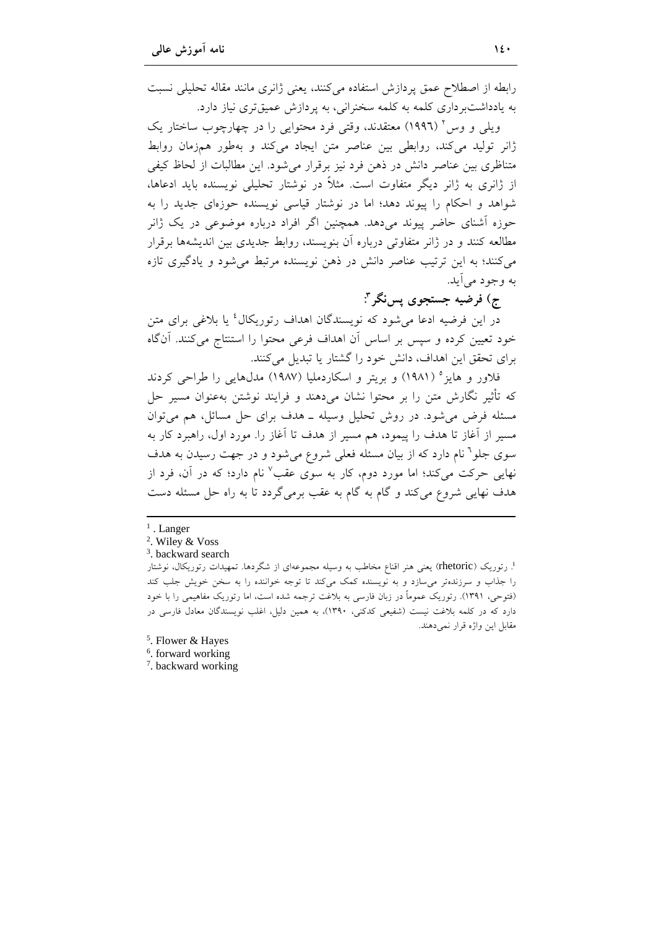رابطه از اصطلاح عمق پردازش استفاده می کنند، یعنی ژانری مانند مقاله تحلیلی نسبت به یادداشتبر داری کلمه به کلمه سخنرانی، به پردازش عمیقتری نیاز دارد.

ویلي و وس<sup>۲</sup> (۱۹۹۶) معتقدند، وقتي فرد محتوايي را در چهارچوب ساختار یک ژانر تولید میکند، روابطی بین عناصر متن ایجاد میکند و بهطور همزمان روابط متناظری بین عناصر دانش در ذهن فرد نیز برقرار می شود. این مطالبات از لحاظ کیفی از ژانری به ژانر دیگر متفاوت است. مثلاً در نوشتار تحلیلی نویسنده باید ادعاها، شواهد و احکام را پیوند دهد؛ اما در نوشتار قیاسی نویسنده حوزهای جدید را به حوزه اَشنای حاضر پیوند میدهد. همچنین اگر افراد درباره موضوعی در یک ژانر مطالعه کنند و در ژانر متفاوتی درباره أن بنویسند، روابط جدیدی بین اندیشهها برقرار می کنند؛ به این ترتیب عناصر دانش در ذهن نویسنده مرتبط می شود و یادگیری تازه به وجود مي اَيد.

ج) فرضيه جستجوي يسنگر "

در این فرضیه ادعا می شود که نویسندگان اهداف رتوریکال<sup>؛</sup> یا بلاغی برای متن خود تعیین کرده و سپس بر اساس آن اهداف فرعی محتوا را استنتاج می کنند. آنگاه برای تحقق این اهداف، دانش خود را گشتار یا تبدیل میکنند.

فلاور و هایز° (۱۹۸۱) و بریتر و اسکاردملیا (۱۹۸۷) مدلهایی را طراحی کردند که تأثیر نگارش متن را بر محتوا نشان می۱دهند و فرایند نوشتن بهعنوان مسیر حل مسئله فرض می شود. در روش تحلیل وسیله ــ هدف برای حل مسائل، هم می توان مسیر از آغاز تا هدف را پیمود، هم مسیر از هدف تا آغاز را. مورد اول، راهبرد کار به سوی جلو<sup>٦</sup> نام دارد که از بیان مسئله فعلی شروع میشود و در جهت رسیدن به هدف نهایی حرکت میکند؛ اما مورد دوم، کار به سوی عقب<sup>۷</sup> نام دارد؛ که در آن، فرد از هدف نهایی شروع میکند و گام به گام به عقب برمیگردد تا به راه حل مسئله دست

- $<sup>1</sup>$ . Langer</sup>
- <sup>2</sup>. Wiley & Voss
- <sup>3</sup>. backward search

<sup>؛</sup> رتوریک (rhetoric) یعنی هنر اقناع مخاطب به وسیله مجموعهای از شگردها. تمهیدات رتوریکال، نوشتار را جذاب و سرزندهتر میسازد و به نویسنده کمک میکند تا توجه خواننده را به سخن خویش جلب کند (فتوحی، ۱۳۹۱). رتوریک عموماً در زبان فارسی به بلاغت ترجمه شده است، اما رتوریک مفاهیمی را با خود دارد که در کلمه بلاغت نیست (شفیعی کدکنی، ۱۳۹۰)، به همین دلیل، اغلب نویسندگان معادل فارسی در مقابل این واژه قرار نمی دهند.

- <sup>5</sup>. Flower & Hayes
- $6.$  forward working
- <sup>7</sup>. backward working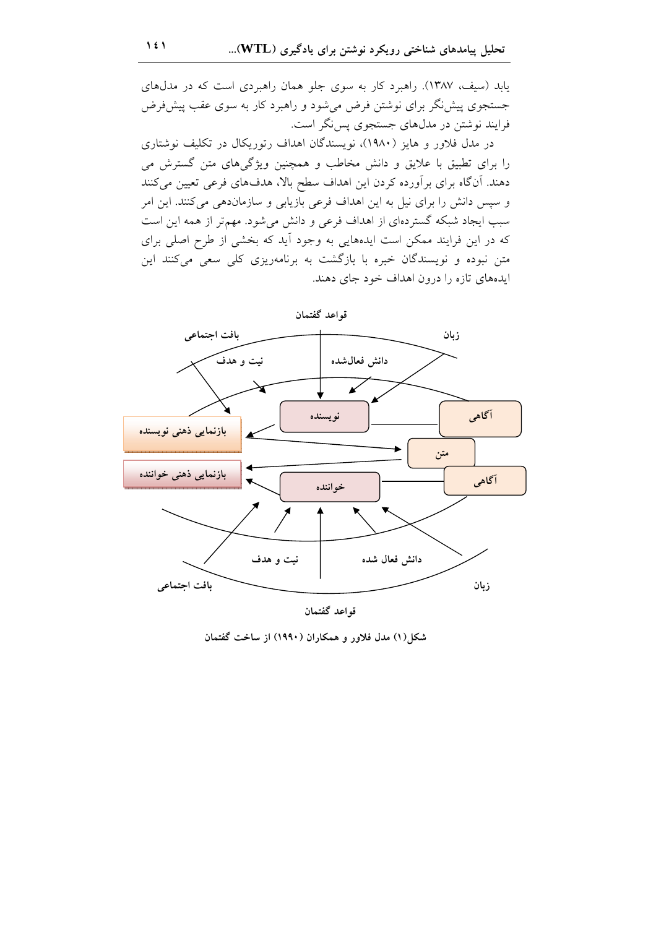یابد (سیف، ۱۳۸۷). راهبرد کار به سوی جلو همان راهبردی است که در مدلهای جستجوی پیش:گر برای نوشتن فرض می شود و راهبرد کار به سوی عقب پیش فرض فرایند نوشتن در مدلهای جستجوی پس نگر است.

در مدل فلاور و هایز (۱۹۸۰)، نویسندگان اهداف رتوریکال در تکلیف نوشتاری را برای تطبیق با علایق و دانش مخاطب و همچنین ویژگیهای متن گسترش می دهند. آنگاه برای برآورده کردن این اهداف سطح بالا، هدفهای فرعی تعیین میکنند و سیس دانش را برای نیل به این اهداف فرعی بازیابی و سازماندهی می کنند. این امر سبب ایجاد شبکه گستردهای از اهداف فرعی و دانش میشود. مهم تر از همه این است که در این فرایند ممکن است ایدههایی به وجود آید که بخشی از طرح اصلی برای متن نبوده و نویسندگان خبره با بازگشت به برنامهریزی کلی سعی میکنند این ایدههای تازه را درون اهداف خود جای دهند.



قواعد گفتمان

شکل(۱) مدل فلاور و همکاران (۱۹۹۰) از ساخت گفتمان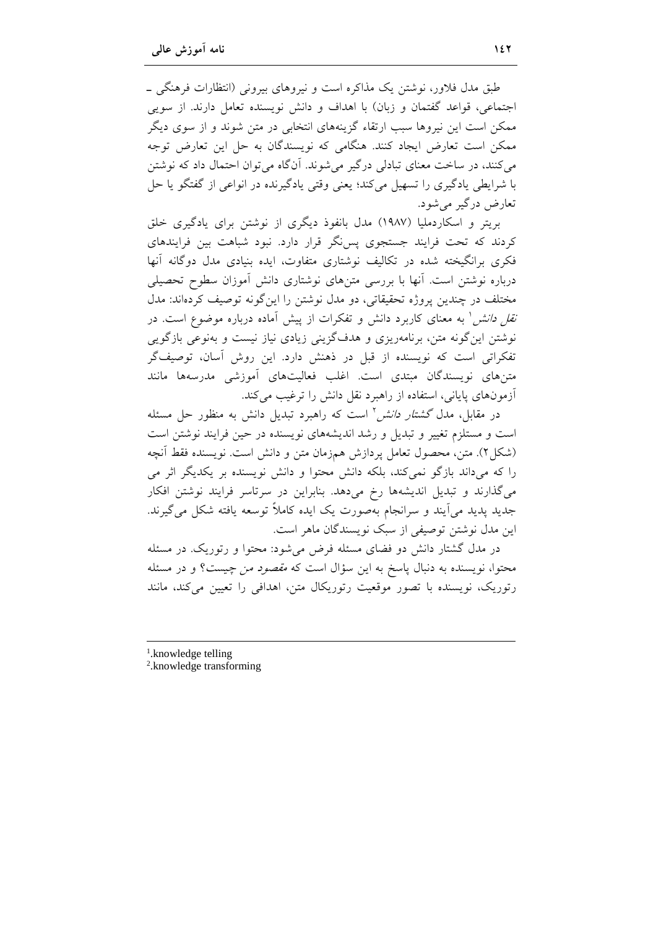طبق مدل فلاور، نوشتن یک مذاکرہ است و نیروهای بیرونی (انتظارات فرهنگی ۔ اجتماعی، قواعد گفتمان و زبان) با اهداف و دانش نویسنده تعامل دارند. از سویی ممکن است این نیروها سبب ارتقاء گزینههای انتخابی در متن شوند و از سوی دیگر ممکن است تعارض ایجاد کنند. هنگامی که نویسندگان به حل این تعارض توجه می کنند، در ساخت معنای تبادلی درگیر می شوند. آنگاه می توان احتمال داد که نوشتن با شرايطي يادگيري را تسهيل ميكند؛ يعني وقتي يادگيرنده در انواعي از گفتگو يا حل تعارض درگیر می شود.

بریتر و اسکاردملیا (۱۹۸۷) مدل بانفوذ دیگری از نوشتن برای یادگیری خلق کردند که تحت فرایند جستجوی پس نگر قرار دارد. نبود شباهت بین فرایندهای فکری برانگیخته شده در تکالیف نوشتاری متفاوت، ایده بنیادی مدل دوگانه آنها درباره نوشتن است. آنها با بررسی متنهای نوشتاری دانش آموزان سطوح تحصیلی مختلف در چندین پروژه تحقیقاتی، دو مدل نوشتن را این گونه توصیف کردهاند: مدل *نقل دانش'* به معنای کاربرد دانش و تفکرات از پیش آماده درباره موضوع است. در نوشتن این گونه متن، برنامهریزی و هدفگزینی زیادی نیاز نیست و بهنوعی بازگویی تفکراتی است که نویسنده از قبل در ذهنش دارد. این روش آسان، توصیفگر متنهای نویسندگان مبتدی است. اغلب فعالیتهای آموزشی مدرسهها مانند آزمونهای پایانی، استفاده از راهبرد نقل دانش را ترغیب میکند.

در مقابل، مدل گ*شتار دانش* ً است که راهبرد تبدیل دانش به منظور حل مسئله است و مستلزم تغییر و تبدیل و رشد اندیشههای نویسنده در حین فرایند نوشتن است (شکل۲). متن، محصول تعامل یردازش همزمان متن و دانش است. نویسنده فقط آنچه را که میداند بازگو نمیکند، بلکه دانش محتوا و دانش نویسنده بر یکدیگر اثر می میگذارند و تبدیل اندیشهها رخ میدهد. بنابراین در سرتاسر فرایند نوشتن افکار جدید پدید می]یند و سرانجام بهصورت یک ایده کاملاً توسعه یافته شکل میگیرند. این مدل نوشتن توصیفی از سبک نویسندگان ماهر است.

در مدل گشتار دانش دو فضای مسئله فرض میشود: محتوا و رتوریک. در مسئله محتوا، نویسنده به دنبال پاسخ به این سؤال است که *مقصود من چیست؟* و در مسئله رتوریک، نویسنده با تصور موقعیت رتوریکال متن، اهدافی را تعیین میکند، مانند

- <sup>1</sup>.knowledge telling
- <sup>2</sup>.knowledge transforming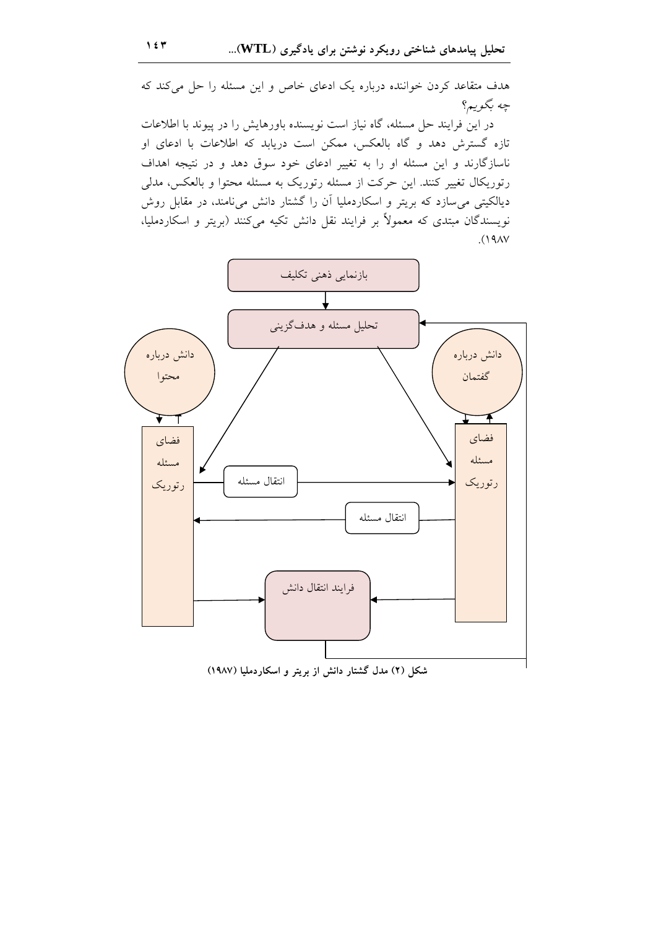هدف متقاعد کردن خواننده درباره یک ادعای خاص و این مسئله را حل میکند که چه بگویم؟

در این فرایند حل مسئله، گاه نیاز است نویسنده باورهایش را در پیوند با اطلاعات تازه گسترش دهد و گاه بالعکس، ممکن است دریابد که اطلاعات با ادعای او ناسازگارند و این مسئله او را به تغییر ادعای خود سوق دهد و در نتیجه اهداف رتوریکال تغییر کنند. این حرکت از مسئله رتوریک به مسئله محتوا و بالعکس، مدلی دیالکیتی میسازد که بریتر و اسکاردملیا ان را گشتار دانش می $i$ مند، در مقابل روش نویسندگان مبتدی که معمولاً بر فرایند نقل دانش تکیه میکنند (بریتر و اسکاردملیا،  $(19AY)$ 



شکل (۲) مدل گشتار دانش از بریتر و اسکاردملیا (۱۹۸۷)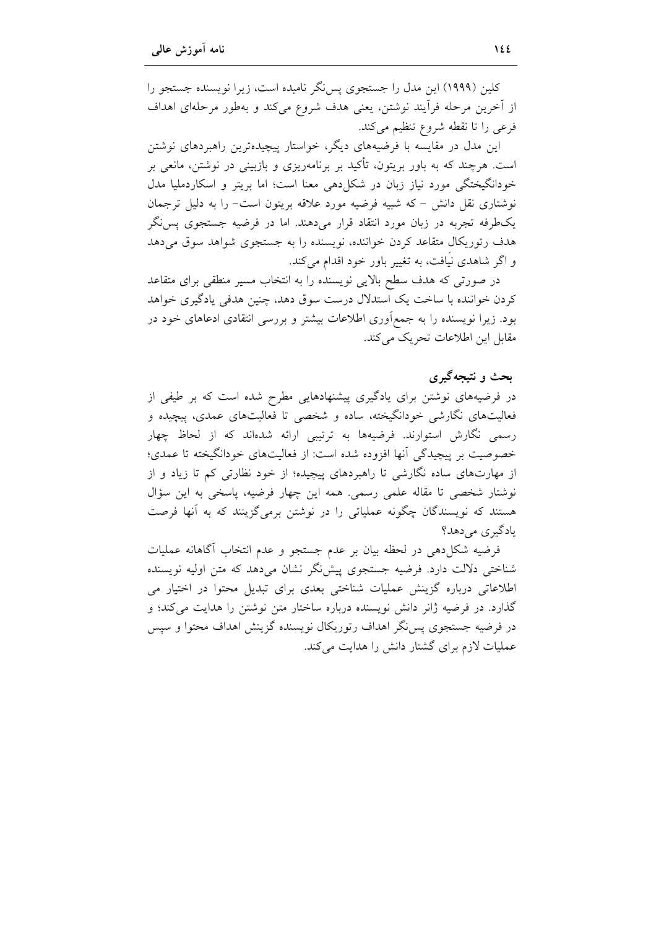کلین (۱۹۹۹) این مدل را جستجوی پس نگر نامیده است، زیرا نویسنده جستجو را از آخرین مرحله فرآیند نوشتن، یعنی هدف شروع میکند و بهطور مرحلهای اهداف فرعي را تا نقطه شروع تنظيم مي كند.

این مدل در مقایسه با فرضیههای دیگر، خواستار پیچیدهترین راهبردهای نوشتن است. هرچند که به باور بریتون، تأکید بر برنامهریزی و بازبینی در نوشتن، مانعی بر خودانگیختگی مورد نیاز زبان در شکل(دهی معنا است؛ اما بریتر و اسکاردملیا مدل نوشتاری نقل دانش – که شبیه فرضیه مورد علاقه بریتون است– را به دلیل ترجمان یکطرفه تجربه در زبان مورد انتقاد قرار میدهند. اما در فرضیه جستجوی پس نگر هدف رتوریکال متقاعد کردن خواننده، نویسنده را به جستجوی شواهد سوق میدهد و اگر شاهدی نیافت، به تغییر باور خود اقدام می کند.

در صورتی که هدف سطح بالایی نویسنده را به انتخاب مسیر منطقی برای متقاعد کردن خواننده با ساخت یک استدلال درست سوق دهد، چنین هدفی یادگیری خواهد بود. زیرا نویسنده را به جمعأوری اطلاعات بیشتر و بررسی انتقادی ادعاهای خود در مقابل این اطلاعات تحریک می کند.

## بحث و نتیجهگیری

در فرضیههای نوشتن برای یادگیری پیشنهادهایی مطرح شده است که بر طیفی از فعالیتهای نگارشی خودانگیخته، ساده و شخصی تا فعالیتهای عمدی، پیچیده و رسمی نگارش استوارند. فرضیهها به ترتیبی ارائه شدهاند که از لحاظ چهار خصوصیت بر پیچیدگی آنها افزوده شده است: از فعالیتهای خودانگیخته تا عمدی؛ از مهارتهای ساده نگارشی تا راهبردهای پیچیده؛ از خود نظارتی کم تا زیاد و از نوشتار شخصی تا مقاله علمی رسمی. همه این چهار فرضیه، پاسخی به این سؤال هستند که نویسندگان چگونه عملیاتی را در نوشتن برمیگزینند که به آنها فرصت یادگیری می دهد؟

فرضيه شكلٍ دهي در لحظه بيان بر عدم جستجو و عدم انتخاب أگاهانه عمليات شناختی دلالت دارد. فرضیه جستجوی پیش گر نشان میدهد که متن اولیه نویسنده اطلاعاتی درباره گزینش عملیات شناختی بعدی برای تبدیل محتوا در اختیار می گذارد. در فرضیه ژانر دانش نویسنده درباره ساختار متن نوشتن را هدایت می کند؛ و در فرضیه جستجوی پس نگر اهداف رتوریکال نویسنده گزینش اهداف محتوا و سپس عملیات لازم برای گشتار دانش را هدایت می کند.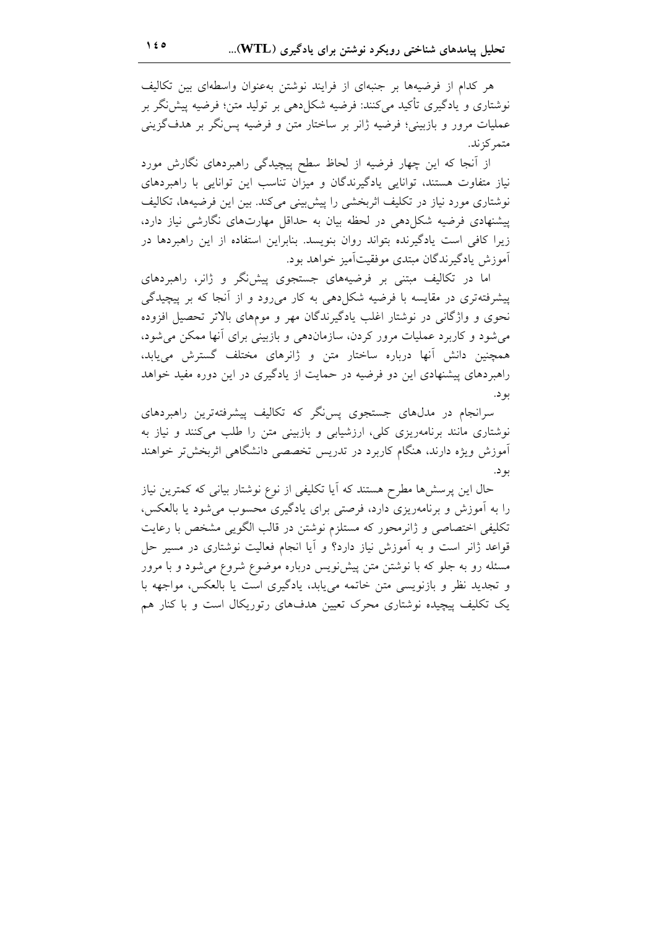هر کدام از فرضیهها بر جنبهای از فرایند نوشتن بهعنوان واسطهای بین تکالیف نوشتاری و یادگیری تأکید میکنند: فرضیه شکلدهی بر تولید متن؛ فرضیه پیش:گر بر عملیات مرور و بازبینی؛ فرضیه ژانر بر ساختار متن و فرضیه پس نگر بر هدف گزینی متمر کز ند.

از آنجا که این چهار فرضیه از لحاظ سطح پیچیدگی راهبردهای نگارش مورد نیاز متفاوت هستند، توانایی یادگیرندگان و میزان تناسب این توانایی با راهبردهای نوشتاری مورد نیاز در تکلیف اثربخشی را پیش بینی می کند. بین این فرضیهها، تکالیف پیشنهادی فرضیه شکل(دهی در لحظه بیان به حداقل مهارتهای نگارشی نیاز دارد، زیرا کافی است یادگیرنده بتواند روان بنویسد. بنابراین استفاده از این راهبردها در آموزش يادگيرندگان مبتدي موفقيتآميز خواهد بود.

اما در تکالیف مبتنی بر فرضیههای جستجوی پیش نگر و ژانر، راهبردهای پیشرفتهتری در مقایسه با فرضیه شکل(هی به کار می(ود و از آنجا که بر پیچیدگی نحوی و واژگانی در نوشتار اغلب یادگیرندگان مهر و مومهای بالاتر تحصیل افزوده می شود و کاربرد عملیات مرور کردن، سازماندهی و بازبینی برای آنها ممکن می شود، همچنین دانش آنها درباره ساختار متن و ژانرهای مختلف گسترش می یابد، راهبردهای پیشنهادی این دو فرضیه در حمایت از یادگیری در این دوره مفید خواهد بو د.

سرانجام در مدلهای جستجوی پس نگر که تکالیف پیشرفتهترین راهبردهای نوشتاری مانند برنامهریزی کلی، ارزشیابی و بازبینی متن را طلب میکنند و نیاز به آموزش ویژه دارند، هنگام کاربرد در تدریس تخصصی دانشگاهی اثربخشتر خواهند بو د.

حال این پرسشها مطرح هستند که آیا تکلیفی از نوع نوشتار بیانی که کمترین نیاز را به أموزش و برنامهریزی دارد، فرصتی برای یادگیری محسوب میشود یا بالعکس، تکلیفی اختصاصی و ژانرمحور که مستلزم نوشتن در قالب الگویی مشخص با رعایت قواعد ژانر است و به اَموزش نیاز دارد؟ و اَیا انجام فعالیت نوشتاری در مسیر حل مسئله رو به جلو که با نوشتن متن پیشنویس درباره موضوع شروع می شود و با مرور و تجدید نظر و بازنویسی متن خاتمه می یابد، یادگیری است یا بالعکس، مواجهه با یک تکلیف پیچیده نوشتاری محرک تعیین هدفهای رتوریکال است و با کنار هم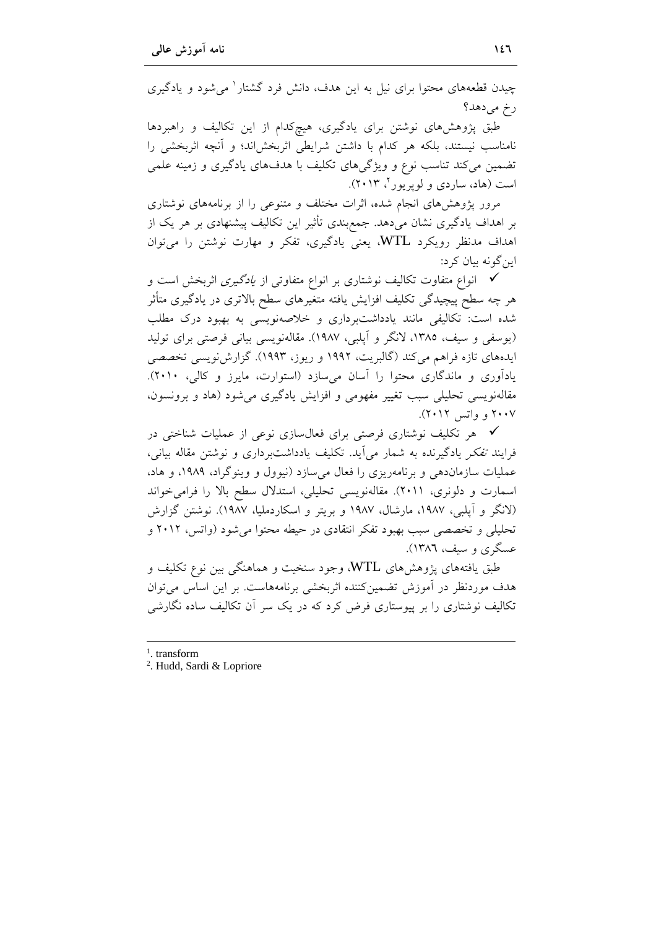| چیدن قطعههای محتوا برای نیل به این هدف، دانش فرد گشتار <sup>۱</sup> میشود و یادگیری |
|-------------------------------------------------------------------------------------|
| رخ میدهد؟                                                                           |
| طبق پژوهشهای نوشتن برای یادگیری، هیچکدام از این تکالیف و راهبردها                   |
| نامناسب نیستند، بلکه هر کدام با داشتن شرایطی اثربخشاند؛ و اَنچه اثربخشی را          |
| تضمین میکند تناسب نوع و ویژگیهای تکلیف با هدفهای یادگیری و زمینه علمی               |
| است (هاد، ساردی و لوپریور ۲۰۱۳).                                                    |
|                                                                                     |

مرور پژوهشهای انجام شده، اثرات مختلف و متنوعی را از برنامههای نوشتاری بر اهداف یادگیری نشان میدهد. جمع بندی تأثیر این تکالیف پیشنهادی بر هر یک از اهداف مدنظر رویکرد WTL، یعنی یادگیری، تفکر و مهارت نوشتن را میتوان اين گونه بيان کرد:

**∕ ا**نواع متفاوت تکالیف نوشتاری بر انواع متفاوتی از *یادگیری* اثربخش است و هر چه سطح پیچیدگی تکلیف افزایش یافته متغیرهای سطح بالاتری در یادگیری متأثر شده است: تکالیفی مانند یادداشتبرداری و خلاصهنویسی به بهبود درک مطلب (یوسفی و سیف، ۱۳۸۵، لانگر و آپلبی، ۱۹۸۷). مقالهنویسی بیانی فرصتی برای تولید ایدههای تازه فراهم میکند (گالبریت، ۱۹۹۲ و ریوز، ۱۹۹۳). گزارش نویسی تخصصی یادآوری و ماندگاری محتوا را آسان میسازد (استوارت، مایرز و کالی، ۲۰۱۰). مقالهنویسی تحلیلی سبب تغییر مفهومی و افزایش یادگیری میشود (هاد و برونسون، ۲۰۰۷ و واتس ۲۰۱۲).

∕ هر تکلیف نوشتاری فرصتی برای فعالسازی نوعی از عملیات شناختی در فرايند تفكر يادگيرنده به شمار مي آيد. تكليف يادداشتبرداري و نوشتن مقاله بياني، عملیات سازماندهی و برنامهریزی را فعال میسازد (نیوول و وینوگراد، ۱۹۸۹، و هاد، اسمارت و دلونری، ٢٠١١). مقالهنویسی تحلیلی، استدلال سطح بالا را فرامی خواند (لانگر و آپلبی، ۱۹۸۷، مارشال، ۱۹۸۷ و بریتر و اسکاردملیا، ۱۹۸۷). نوشتن گزارش تحلیلی و تخصصی سبب بهبود تفکر انتقادی در حیطه محتوا می شود (واتس، ۲۰۱۲ و عسگري و سيف، ١٣٨٦).

طبق یافتههای پژوهشهای WTL، وجود سنخیت و هماهنگی بین نوع تکلیف و هدف موردنظر در آموزش تضمین کننده اثربخشی برنامههاست. بر این اساس می توان تکالیف نوشتاری را بر پیوستاری فرض کرد که در یک سر آن تکالیف ساده نگارشی

- $1$  transform
- <sup>2</sup>. Hudd, Sardi & Lopriore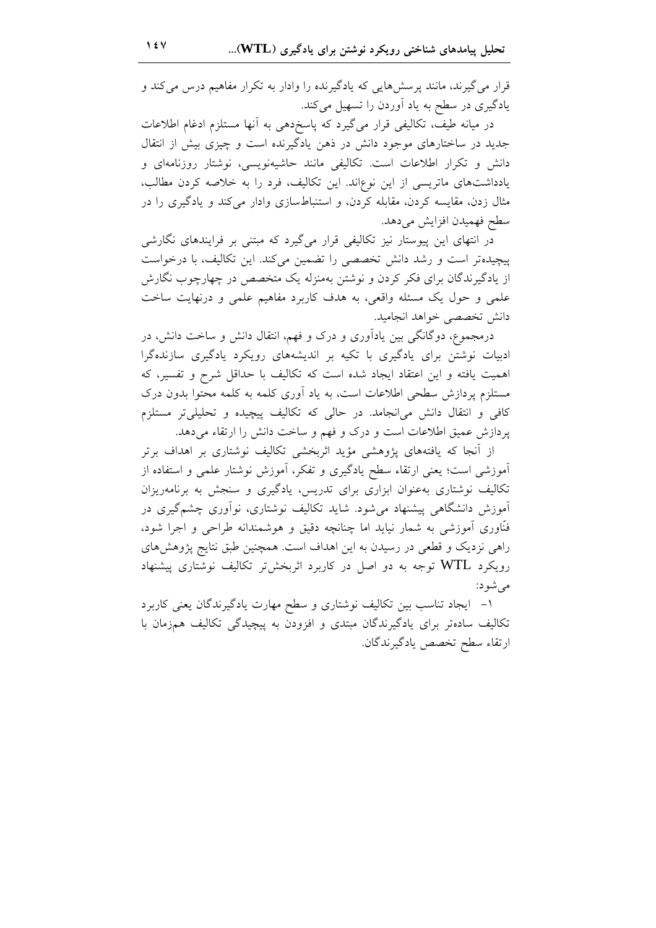قرار می گیرند، مانند پرسشهایی که یادگیرنده را وادار به تکرار مفاهیم درس میکند و یادگیری در سطح به یاد آوردن را تسهیل میکند.

در میانه طیف، تکالیفی قرار میگیرد که پاسخردهی به أنها مستلزم ادغام اطلاعات جدید در ساختارهای موجود دانش در ذهن یادگیرنده است و چیزی بیش از انتقال دانش و تکرار اطلاعات است. تکالیفی مانند حاشیهنویسی، نوشتار روزنامهای و یادداشتهای ماتریسی از این نوعاند. این تکالیف، فرد را به خلاصه کردن مطالب، مثال زدن، مقایسه کردن، مقابله کردن، و استنباطسازی وادار میکند و یادگیری را در سطح فهميدن افزايش مىدهد.

در انتهای این پیوستار نیز تکالیفی قرار میگیرد که مبتنی بر فرایندهای نگارشی پیچیدهتر است و رشد دانش تخصصی را تضمین میکند. این تکالیف، با درخواست از یادگیرندگان برای فکر کردن و نوشتن بهمنزله یک متخصص در چهارچوب نگارش علمي و حول يک مسئله واقعي، به هدف کاربرد مفاهيم علمي و درنهايت ساخت دانش تخصصي خواهد انجاميد.

درمجموع، دوگانگی بین یادآوری و درک و فهم، انتقال دانش و ساخت دانش، در ادبیات نوشتن برای یادگیری با تکیه بر اندیشههای رویکرد یادگیری سازندهگرا اهمیت یافته و این اعتقاد ایجاد شده است که تکالیف با حداقل شرح و تفسیر، که مستلزم پردازش سطحی اطلاعات است، به یاد آوری کلمه به کلمه محتوا بدون درک کافی و انتقال دانش می|نجامد. در حالی که تکالیف پیچیده و تحلیلیتر مستلزم پردازش عمیق اطلاعات است و درک و فهم و ساخت دانش را ارتقاء میدهد.

از آنجا که یافتههای یژوهشی مؤید اثربخشی تکالیف نوشتاری بر اهداف برتر آموزشی است؛ یعنی ارتقاء سطح یادگیری و تفکر، آموزش نوشتار علمی و استفاده از تکالیف نوشتاری بهعنوان ابزاری برای تدریس، یادگیری و سنجش به برنامهریزان آموزش دانشگاهی پیشنهاد میشود. شاید تکالیف نوشتاری، نوآوری چشمگیری در فنّاوری آموزشی به شمار نیاید اما چنانچه دقیق و هوشمندانه طراحی و اجرا شود، راهی نزدیک و قطعی در رسیدن به این اهداف است. همچنین طبق نتایج پژوهشهای رویکرد WTL توجه به دو اصل در کاربرد اثربخشتر تکالیف نوشتاری پیشنهاد می شو د:

١- ايجاد تناسب بين تكاليف نوشتاري و سطح مهارت يادگيرندگان يعني كاربرد تکالیف سادهتر برای یادگیرندگان مبتدی و افزودن به پیچیدگی تکالیف همزمان با ارتقاء سطح تخصص يادگيرندگان.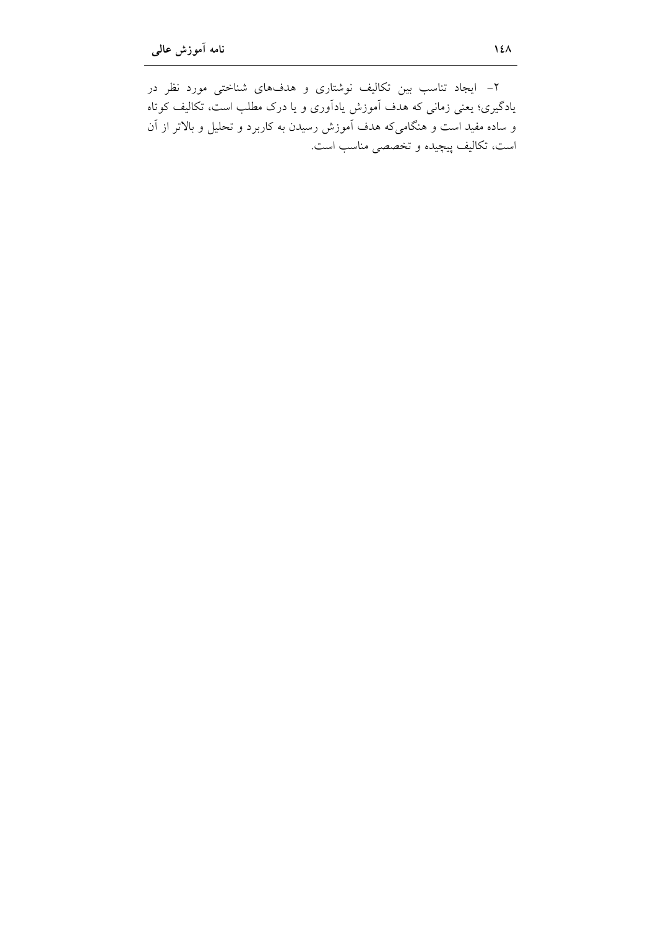۲– ایجاد تناسب بین تکالیف نوشتاری و هدفهای شناختی مورد نظر در یادگیری؛ یعنی زمانی که هدف آموزش یادآوری و یا درک مطلب است، تکالیف کوتاه و ساده مفید است و هنگامیکه هدف آموزش رسیدن به کاربرد و تحلیل و بالاتر از آن است، تکالیف پیچیده و تخصصی مناسب است.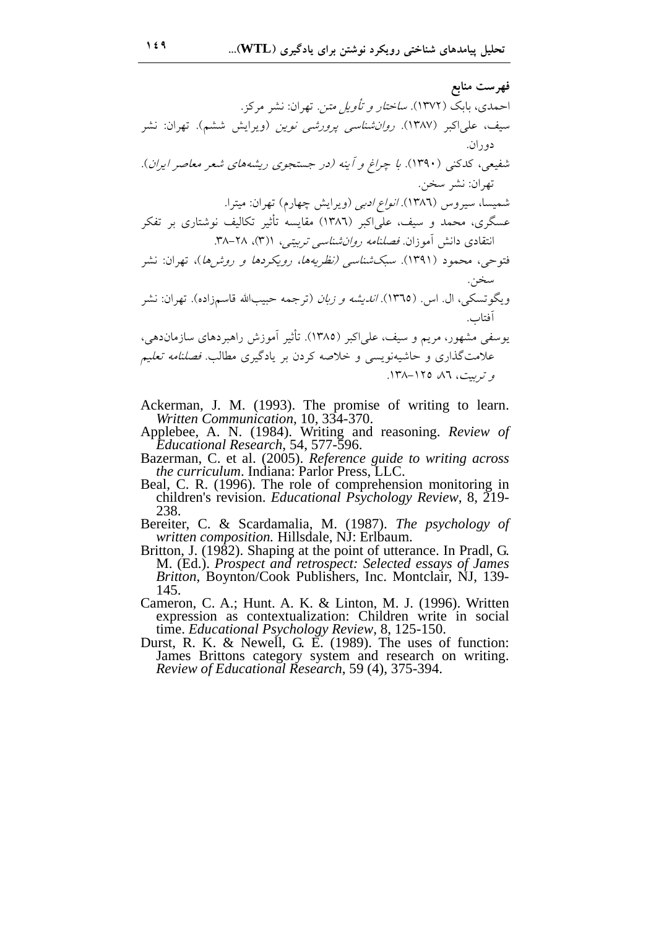**Z (X[#** .MF/- /, :N./< .24- R<  4B .(1372) X 0H. /, :N./< .(, \$./) 2 /( \*N. .(1387 ) /;F. \ @+ .N. .(N./. /"G- /G ),%0 0U4C 
) )\*  å./Q .(1390 ) \*FF G+I .2 ` /, :N./< ../4+- :N./< (Q \$./) . A.. .(1386) v/+ C+ /5I< / 04 @+5< (1-)C a<+/ 1386 ) /;F. \ @+  T- 0/:C 38. 1)3( 28- 4+/< \*N. )-\*\ZJ .N.- \$.
 0
14. /, :N./< (%  %
/5 /S)% ) \*X; .(1391) 
T- H4J .2` /, :N./< .(9
.P ç. ;H+O )/<) N  ),. .(1365 . ) v. .. 5C<: . k4J %
N- 0%
/;%. - .(a<+/ 1385 /;F. ) \ @+  /- ,- I +\G< )-\*\ZJ .O>- 0/+6
 / N
/F )"gB  H+)C 0  .]6Dg 138. -125 86 D+/< 

- Ackerman, J. M. (1993). The promise of writing to learn. *Written Communication*, 10, 334-370.
- Applebee, A. N. (1984). Writing and reasoning. *Review of Educational Research*, 54, 577-596.
- Bazerman, C. et al. (2005). *Reference guide to writing across the curriculum*. Indiana: Parlor Press, LLC.
- Beal, C. R. (1996). The role of comprehension monitoring in children's revision. *Educational Psychology Review*, 8, 219- 238.
- Bereiter, C. & Scardamalia, M. (1987). *The psychology of written composition.* Hillsdale, NJ: Erlbaum.
- Britton, J. (1982). Shaping at the point of utterance. In Pradl, G. M. (Ed.). *Prospect and retrospect: Selected essays of James Britton*, Boynton/Cook Publishers, Inc. Montclair, NJ, 139- 145.
- Cameron, C. A.; Hunt. A. K. & Linton, M. J. (1996). Written expression as contextualization: Children write in social time. *Educational Psychology Review*, 8, 125-150.
- Durst, R. K. & Newell, G. E. (1989). The uses of function: James Brittons category system and research on writing. *Review of Educational Research*, 59 (4), 375-394.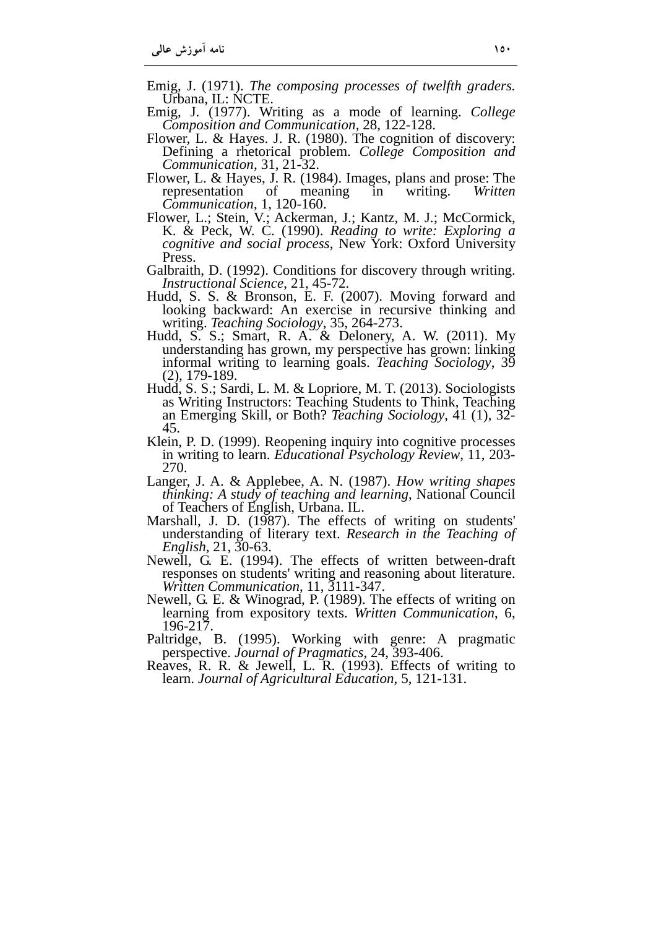- Emig, J. (1971). *The composing processes of twelfth graders.*  Urbana, IL: NCTE.
- Emig, J. (1977). Writing as a mode of learning. *College Composition and Communication,* 28, 122-128.
- Flower, L. & Hayes. J. R. (1980). The cognition of discovery: Defining a rhetorical problem. *College Composition and Communication*, 31, 21-32.
- Flower, L. & Hayes, J. R. (1984). Images, plans and prose: The representation of meaning in writing. *Written Communication*, 1, 120-160.
- Flower, L.; Stein, V.; Ackerman, J.; Kantz, M. J.; McCormick, K. & Peck, W. C. (1990). *Reading to write: Exploring a cognitive and social process*, New York: Oxford University Press.
- Galbraith, D. (1992). Conditions for discovery through writing. *Instructional Science*, 21, 45-72.
- Hudd, S. S. & Bronson, E. F. (2007). Moving forward and looking backward: An exercise in recursive thinking and writing. *Teaching Sociology*, 35, 264-273.
- Hudd, S. S.; Smart, R. A. & Delonery, A. W. (2011). My understanding has grown, my perspective has grown: linking informal writing to learning goals. *Teaching Sociology*, 39 (2), 179-189.
- Hudd, S. S.; Sardi, L. M. & Lopriore, M. T. (2013). Sociologists as Writing Instructors: Teaching Students to Think, Teaching an Emerging Skill, or Both? *Teaching Sociology*, 41 (1), 32- 45.
- Klein, P. D. (1999). Reopening inquiry into cognitive processes in writing to learn. *Educational Psychology Review*, 11, 203- 270.
- Langer, J. A. & Applebee, A. N. (1987). *How writing shapes thinking: A study of teaching and learning*, National Council of Teachers of English, Urbana. IL.
- Marshall, J. D. (1987). The effects of writing on students' understanding of literary text. *Research in the Teaching of English*, 21, 30-63.
- Newell, G. E. (1994). The effects of written between-draft responses on students' writing and reasoning about literature. *Written Communication*, 11, 3111-347.
- Newell, G. E. & Winograd, P. (1989). The effects of writing on learning from expository texts. *Written Communication*, 6, 196-217.
- Paltridge, B. (1995). Working with genre: A pragmatic perspective. *Journal of Pragmatics*, 24, 393-406.
- Reaves, R. R. & Jewell, L. R. (1993). Effects of writing to learn. *Journal of Agricultural Education*, 5, 121-131.